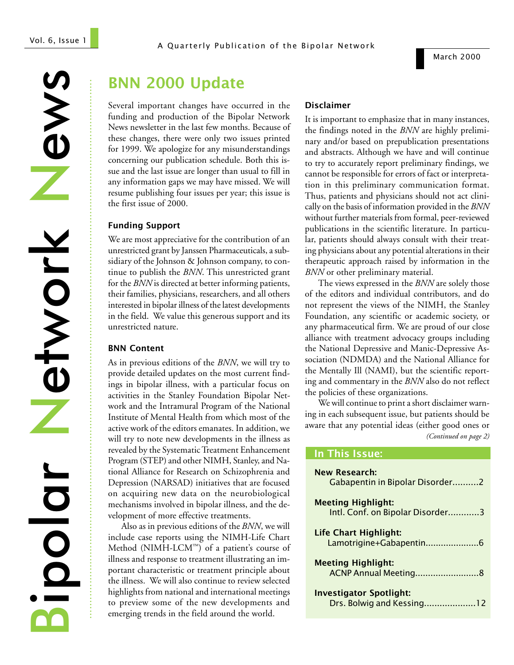News Network Network Bipolar

........................................................................................................................................................................

# BNN 2000 Update

Several important changes have occurred in the funding and production of the Bipolar Network News newsletter in the last few months. Because of these changes, there were only two issues printed for 1999. We apologize for any misunderstandings concerning our publication schedule. Both this issue and the last issue are longer than usual to fill in any information gaps we may have missed. We will resume publishing four issues per year; this issue is the first issue of 2000.

#### Funding Support

We are most appreciative for the contribution of an unrestricted grant by Janssen Pharmaceuticals, a subsidiary of the Johnson & Johnson company, to continue to publish the *BNN*. This unrestricted grant for the *BNN* is directed at better informing patients, their families, physicians, researchers, and all others interested in bipolar illness of the latest developments in the field. We value this generous support and its unrestricted nature.

#### BNN Content

As in previous editions of the *BNN*, we will try to provide detailed updates on the most current findings in bipolar illness, with a particular focus on activities in the Stanley Foundation Bipolar Network and the Intramural Program of the National Institute of Mental Health from which most of the active work of the editors emanates. In addition, we will try to note new developments in the illness as revealed by the Systematic Treatment Enhancement Program (STEP) and other NIMH, Stanley, and National Alliance for Research on Schizophrenia and Depression (NARSAD) initiatives that are focused on acquiring new data on the neurobiological mechanisms involved in bipolar illness, and the development of more effective treatments.

Also as in previous editions of the *BNN*, we will include case reports using the NIMH-Life Chart Method (NIMH-LCM™) of a patient's course of illness and response to treatment illustrating an important characteristic or treatment principle about the illness. We will also continue to review selected highlights from national and international meetings to preview some of the new developments and emerging trends in the field around the world.

#### Disclaimer

It is important to emphasize that in many instances, the findings noted in the *BNN* are highly preliminary and/or based on prepublication presentations and abstracts. Although we have and will continue to try to accurately report preliminary findings, we cannot be responsible for errors of fact or interpretation in this preliminary communication format. Thus, patients and physicians should not act clinically on the basis of information provided in the *BNN* without further materials from formal, peer-reviewed publications in the scientific literature. In particular, patients should always consult with their treating physicians about any potential alterations in their therapeutic approach raised by information in the *BNN* or other preliminary material.

The views expressed in the *BNN* are solely those of the editors and individual contributors, and do not represent the views of the NIMH, the Stanley Foundation, any scientific or academic society, or any pharmaceutical firm. We are proud of our close alliance with treatment advocacy groups including the National Depressive and Manic-Depressive Association (NDMDA) and the National Alliance for the Mentally Ill (NAMI), but the scientific reporting and commentary in the *BNN* also do not reflect the policies of these organizations.

We will continue to print a short disclaimer warning in each subsequent issue, but patients should be aware that any potential ideas (either good ones or *(Continued on page 2)*

## In This Issue:

| <b>New Research:</b><br>Gabapentin in Bipolar Disorder2       |
|---------------------------------------------------------------|
| <b>Meeting Highlight:</b><br>Intl. Conf. on Bipolar Disorder3 |
| Life Chart Highlight:<br>Lamotrigine+Gabapentin6              |
| <b>Meeting Highlight:</b>                                     |
| <b>Investigator Spotlight:</b><br>Drs. Bolwig and Kessing12   |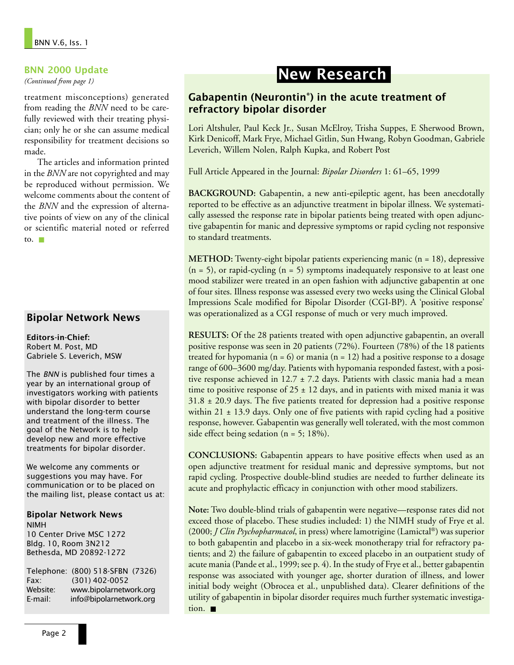### BNN 2000 Update

*(Continued from page 1)*

treatment misconceptions) generated from reading the *BNN* need to be carefully reviewed with their treating physician; only he or she can assume medical responsibility for treatment decisions so made.

The articles and information printed in the *BNN* are not copyrighted and may be reproduced without permission. We welcome comments about the content of the *BNN* and the expression of alternative points of view on any of the clinical or scientific material noted or referred to.  $\blacksquare$ 

## Bipolar Network News

Editors-in-Chief: Robert M. Post, MD Gabriele S. Leverich, MSW

The BNN is published four times a year by an international group of investigators working with patients with bipolar disorder to better understand the long-term course and treatment of the illness. The goal of the Network is to help develop new and more effective treatments for bipolar disorder.

We welcome any comments or suggestions you may have. For communication or to be placed on the mailing list, please contact us at:

### Bipolar Network News NIMH

10 Center Drive MSC 1272 Bldg. 10, Room 3N212 Bethesda, MD 20892-1272

Telephone: (800) 518-SFBN (7326) Fax: (301) 402-0052 Website: www.bipolarnetwork.org E-mail: info@bipolarnetwork.org

# New Research

## Gabapentin (Neurontin®) in the acute treatment of refractory bipolar disorder

Lori Altshuler, Paul Keck Jr., Susan McElroy, Trisha Suppes, E Sherwood Brown, Kirk Denicoff, Mark Frye, Michael Gitlin, Sun Hwang, Robyn Goodman, Gabriele Leverich, Willem Nolen, Ralph Kupka, and Robert Post

Full Article Appeared in the Journal: *Bipolar Disorders* 1: 61–65, 1999

**BACKGROUND:** Gabapentin, a new anti-epileptic agent, has been anecdotally reported to be effective as an adjunctive treatment in bipolar illness. We systematically assessed the response rate in bipolar patients being treated with open adjunctive gabapentin for manic and depressive symptoms or rapid cycling not responsive to standard treatments.

**METHOD:** Twenty-eight bipolar patients experiencing manic (n = 18), depressive  $(n = 5)$ , or rapid-cycling  $(n = 5)$  symptoms inadequately responsive to at least one mood stabilizer were treated in an open fashion with adjunctive gabapentin at one of four sites. Illness response was assessed every two weeks using the Clinical Global Impressions Scale modified for Bipolar Disorder (CGI-BP). A 'positive response' was operationalized as a CGI response of much or very much improved.

**RESULTS:** Of the 28 patients treated with open adjunctive gabapentin, an overall positive response was seen in 20 patients (72%). Fourteen (78%) of the 18 patients treated for hypomania ( $n = 6$ ) or mania ( $n = 12$ ) had a positive response to a dosage range of 600–3600 mg/day. Patients with hypomania responded fastest, with a positive response achieved in 12.7  $\pm$  7.2 days. Patients with classic mania had a mean time to positive response of  $25 \pm 12$  days, and in patients with mixed mania it was  $31.8 \pm 20.9$  days. The five patients treated for depression had a positive response within 21  $\pm$  13.9 days. Only one of five patients with rapid cycling had a positive response, however. Gabapentin was generally well tolerated, with the most common side effect being sedation ( $n = 5$ ; 18%).

**CONCLUSIONS:** Gabapentin appears to have positive effects when used as an open adjunctive treatment for residual manic and depressive symptoms, but not rapid cycling. Prospective double-blind studies are needed to further delineate its acute and prophylactic efficacy in conjunction with other mood stabilizers.

**Note:** Two double-blind trials of gabapentin were negative—response rates did not exceed those of placebo. These studies included: 1) the NIMH study of Frye et al. (2000; *J Clin Psychopharmacol*, in press) where lamotrigine (Lamictal®) was superior to both gabapentin and placebo in a six-week monotherapy trial for refractory patients; and 2) the failure of gabapentin to exceed placebo in an outpatient study of acute mania (Pande et al., 1999; see p. 4). In the study of Frye et al., better gabapentin response was associated with younger age, shorter duration of illness, and lower initial body weight (Obrocea et al., unpublished data). Clearer definitions of the utility of gabapentin in bipolar disorder requires much further systematic investigation. ■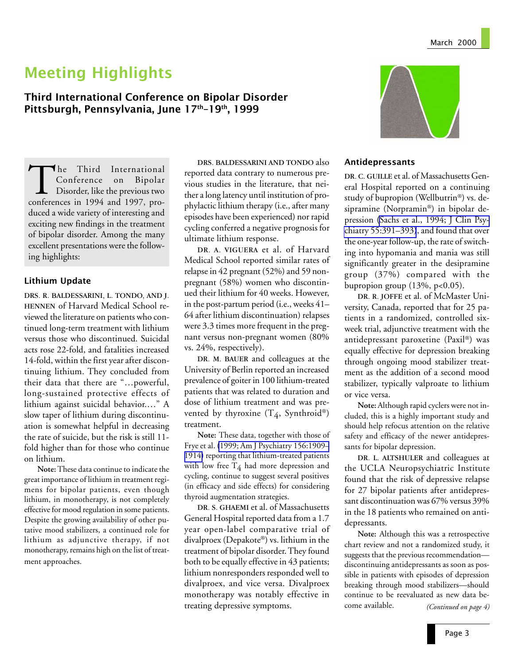# Meeting Highlights

Third International Conference on Bipolar Disorder Pittsburgh, Pennsylvania, June 17<sup>th</sup>-19<sup>th</sup>, 1999

The Third International<br>Conference on Bipolar<br>Disorder, like the previous two<br>conferences in 1994 and 1997, pro-Conference on Bipolar Disorder, like the previous two conferences in 1994 and 1997, produced a wide variety of interesting and exciting new findings in the treatment of bipolar disorder. Among the many excellent presentations were the following highlights:

### Lithium Update

DRS. R. BALDESSARINI, L. TONDO, AND J. HENNEN of Harvard Medical School reviewed the literature on patients who continued long-term treatment with lithium versus those who discontinued. Suicidal acts rose 22-fold, and fatalities increased 14-fold, within the first year after discontinuing lithium. They concluded from their data that there are "…powerful, long-sustained protective effects of lithium against suicidal behavior.…" A slow taper of lithium during discontinuation is somewhat helpful in decreasing the rate of suicide, but the risk is still 11 fold higher than for those who continue on lithium.

**Note:**These data continue to indicate the great importance of lithium in treatment regimens for bipolar patients, even though lithium, in monotherapy, is not completely effective for mood regulation in some patients. Despite the growing availability of other putative mood stabilizers, a continued role for lithium as adjunctive therapy, if not monotherapy, remains high on the list of treatment approaches.

DRS. BALDESSARINI AND TONDO also reported data contrary to numerous previous studies in the literature, that neither a long latency until institution of prophylactic lithium therapy (i.e., after many episodes have been experienced) nor rapid cycling conferred a negative prognosis for ultimate lithium response.

DR. A. VIGUERA et al. of Harvard Medical School reported similar rates of relapse in 42 pregnant (52%) and 59 nonpregnant (58%) women who discontinued their lithium for 40 weeks. However, in the post-partum period (i.e., weeks 41– 64 after lithium discontinuation) relapses were 3.3 times more frequent in the pregnant versus non-pregnant women (80% vs. 24%, respectively).

DR. M. BAUER and colleagues at the University of Berlin reported an increased prevalence of goiter in 100 lithium-treated patients that was related to duration and dose of lithium treatment and was prevented by thyroxine  $(T_4, Symbroid^*)$ treatment.

**Note:** These data, together with those of Frye et al. [\(1999; Am J Psychiatry 156:1909–](http://www.ncbi.nlm.nih.gov/entrez/query.fcgi?cmd=Retrieve&db=PubMed&list_uids=10588404&dopt=Abstract) [1914\)](http://www.ncbi.nlm.nih.gov/entrez/query.fcgi?cmd=Retrieve&db=PubMed&list_uids=10588404&dopt=Abstract) reporting that lithium-treated patients with low free  $T_4$  had more depression and cycling, continue to suggest several positives (in efficacy and side effects) for considering thyroid augmentation strategies.

DR. S. GHAEMI et al. of Massachusetts General Hospital reported data from a 1.7 year open-label comparative trial of divalproex (Depakote®) vs. lithium in the treatment of bipolar disorder. They found both to be equally effective in 43 patients; lithium nonresponders responded well to divalproex, and vice versa. Divalproex monotherapy was notably effective in treating depressive symptoms.



### Antidepressants

DR. C. GUILLE et al. of Massachusetts General Hospital reported on a continuing study of bupropion (Wellbutrin®) vs. desipramine (Norpramin®) in bipolar depression [\(Sachs et al., 1994; J Clin Psy](http://www.ncbi.nlm.nih.gov:80/entrez/query.fcgi?cmd=Retrieve&db=PubMed&list_uids=7929019&dopt=Abstract)[chiatry 55:391–393\)](http://www.ncbi.nlm.nih.gov:80/entrez/query.fcgi?cmd=Retrieve&db=PubMed&list_uids=7929019&dopt=Abstract), and found that over the one-year follow-up, the rate of switching into hypomania and mania was still significantly greater in the desipramine group (37%) compared with the bupropion group  $(13\%, p<0.05)$ .

DR. R. JOFFE et al. of McMaster University, Canada, reported that for 25 patients in a randomized, controlled sixweek trial, adjunctive treatment with the antidepressant paroxetine (Paxil®) was equally effective for depression breaking through ongoing mood stabilizer treatment as the addition of a second mood stabilizer, typically valproate to lithium or vice versa.

**Note:**Although rapid cyclers were not included, this is a highly important study and should help refocus attention on the relative safety and efficacy of the newer antidepressants for bipolar depression.

DR. L. ALTSHULER and colleagues at the UCLA Neuropsychiatric Institute found that the risk of depressive relapse for 27 bipolar patients after antidepressant discontinuation was 67% versus 39% in the 18 patients who remained on antidepressants.

**Note:** Although this was a retrospective chart review and not a randomized study, it suggests that the previous recommendation discontinuing antidepressants as soon as possible in patients with episodes of depression breaking through mood stabilizers—should continue to be reevaluated as new data become available. *(Continued on page 4)*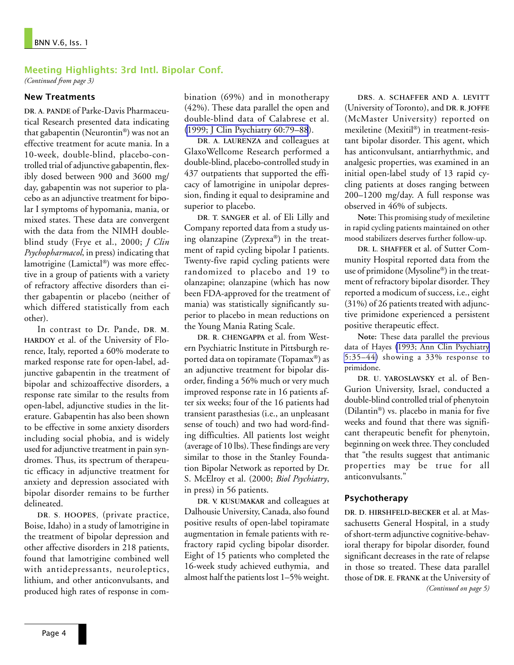### Meeting Highlights: 3rd Intl. Bipolar Conf.

*(Continued from page 3)*

### New Treatments

DR. A. PANDE of Parke-Davis Pharmaceutical Research presented data indicating that gabapentin (Neurontin®) was not an effective treatment for acute mania. In a 10-week, double-blind, placebo-controlled trial of adjunctive gabapentin, flexibly dosed between 900 and 3600 mg/ day, gabapentin was not superior to placebo as an adjunctive treatment for bipolar I symptoms of hypomania, mania, or mixed states. These data are convergent with the data from the NIMH doubleblind study (Frye et al., 2000; *J Clin Psychopharmacol*, in press) indicating that lamotrigine (Lamictal®) was more effective in a group of patients with a variety of refractory affective disorders than either gabapentin or placebo (neither of which differed statistically from each other).

In contrast to Dr. Pande, DR. M. HARDOY et al. of the University of Florence, Italy, reported a 60% moderate to marked response rate for open-label, adjunctive gabapentin in the treatment of bipolar and schizoaffective disorders, a response rate similar to the results from open-label, adjunctive studies in the literature. Gabapentin has also been shown to be effective in some anxiety disorders including social phobia, and is widely used for adjunctive treatment in pain syndromes. Thus, its spectrum of therapeutic efficacy in adjunctive treatment for anxiety and depression associated with bipolar disorder remains to be further delineated.

DR. S. HOOPES, (private practice, Boise, Idaho) in a study of lamotrigine in the treatment of bipolar depression and other affective disorders in 218 patients, found that lamotrigine combined well with antidepressants, neuroleptics, lithium, and other anticonvulsants, and produced high rates of response in combination (69%) and in monotherapy (42%). These data parallel the open and double-blind data of Calabrese et al. [\(1999; J Clin Psychiatry 60:79–88](http://www.ncbi.nlm.nih.gov:80/entrez/query.fcgi?cmd=Retrieve&db=PubMed&list_uids=10084633&dopt=Abstract)).

DR. A. LAURENZA and colleagues at GlaxoWellcome Research performed a double-blind, placebo-controlled study in 437 outpatients that supported the efficacy of lamotrigine in unipolar depression, finding it equal to desipramine and superior to placebo.

DR. T. SANGER et al. of Eli Lilly and Company reported data from a study using olanzapine (Zyprexa®) in the treatment of rapid cycling bipolar I patients. Twenty-five rapid cycling patients were randomized to placebo and 19 to olanzapine; olanzapine (which has now been FDA-approved for the treatment of mania) was statistically significantly superior to placebo in mean reductions on the Young Mania Rating Scale.

DR. R. CHENGAPPA et al. from Western Psychiatric Institute in Pittsburgh reported data on topiramate (Topamax®) as an adjunctive treatment for bipolar disorder, finding a 56% much or very much improved response rate in 16 patients after six weeks; four of the 16 patients had transient parasthesias (i.e., an unpleasant sense of touch) and two had word-finding difficulties. All patients lost weight (average of 10 lbs). These findings are very similar to those in the Stanley Foundation Bipolar Network as reported by Dr. S. McElroy et al. (2000; *Biol Psychiatry*, in press) in 56 patients.

DR. V. KUSUMAKAR and colleagues at Dalhousie University, Canada, also found positive results of open-label topiramate augmentation in female patients with refractory rapid cycling bipolar disorder. Eight of 15 patients who completed the 16-week study achieved euthymia, and almost half the patients lost 1–5% weight.

DRS. A. SCHAFFER AND A. LEVITT (University of Toronto), and DR. R. JOFFE (McMaster University) reported on mexiletine (Mexitil®) in treatment-resistant bipolar disorder. This agent, which has anticonvulsant, antiarrhythmic, and analgesic properties, was examined in an initial open-label study of 13 rapid cycling patients at doses ranging between 200–1200 mg/day. A full response was observed in 46% of subjects.

**Note:** This promising study of mexiletine in rapid cycling patients maintained on other mood stabilizers deserves further follow-up.

DR. L. SHAFFER et al. of Sutter Community Hospital reported data from the use of primidone(Mysoline®) in the treatment of refractory bipolar disorder. They reported a modicum of success, i.e., eight (31%) of 26 patients treated with adjunctive primidone experienced a persistent positive therapeutic effect.

**Note:** These data parallel the previous data of Hayes [\(1993; Ann Clin Psychiatry](http://www.ncbi.nlm.nih.gov:80/entrez/query.fcgi?cmd=Retrieve&db=PubMed&list_uids=8348197&dopt=Abstract) [5:35–44\)](http://www.ncbi.nlm.nih.gov:80/entrez/query.fcgi?cmd=Retrieve&db=PubMed&list_uids=8348197&dopt=Abstract) showing a 33% response to primidone.

DR. U. YAROSLAVSKY et al. of Ben-Gurion University, Israel, conducted a double-blind controlled trial of phenytoin (Dilantin®) vs. placebo in mania for five weeks and found that there was significant therapeutic benefit for phenytoin, beginning on week three. They concluded that "the results suggest that antimanic properties may be true for all anticonvulsants."

### Psychotherapy

DR. D. HIRSHFELD-BECKER et al. at Massachusetts General Hospital, in a study of short-term adjunctive cognitive-behavioral therapy for bipolar disorder, found significant decreases in the rate of relapse in those so treated. These data parallel those of DR. E. FRANK at the University of *(Continued on page 5)*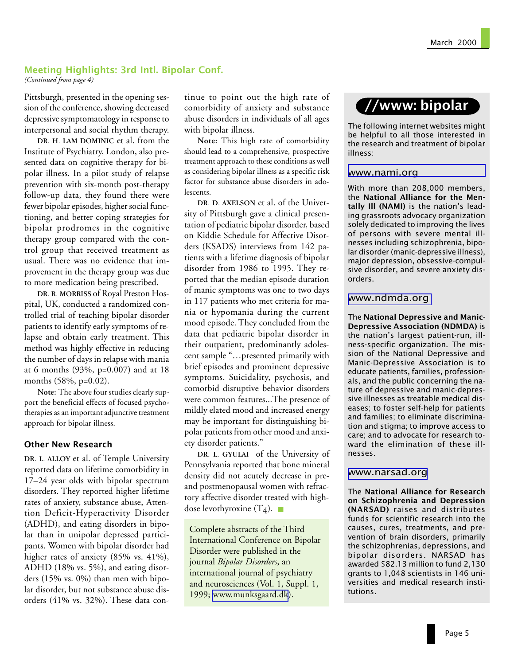### Meeting Highlights: 3rd Intl. Bipolar Conf.

*(Continued from page 4)*

Pittsburgh, presented in the opening session of the conference, showing decreased depressive symptomatology in response to interpersonal and social rhythm therapy.

DR. H. LAM DOMINIC et al. from the Institute of Psychiatry, London, also presented data on cognitive therapy for bipolar illness. In a pilot study of relapse prevention with six-month post-therapy follow-up data, they found there were fewer bipolar episodes, higher social functioning, and better coping strategies for bipolar prodromes in the cognitive therapy group compared with the control group that received treatment as usual. There was no evidence that improvement in the therapy group was due to more medication being prescribed.

DR. R. MORRISS of Royal Preston Hospital, UK, conducted a randomized controlled trial of teaching bipolar disorder patients to identify early symptoms of relapse and obtain early treatment. This method was highly effective in reducing the number of days in relapse with mania at 6 months (93%, p=0.007) and at 18 months (58%, p=0.02).

**Note:** The above four studies clearly support the beneficial effects of focused psychotherapies as an important adjunctive treatment approach for bipolar illness.

### Other New Research

DR. L. ALLOY et al. of Temple University reported data on lifetime comorbidity in 17–24 year olds with bipolar spectrum disorders. They reported higher lifetime rates of anxiety, substance abuse, Attention Deficit-Hyperactivity Disorder (ADHD), and eating disorders in bipolar than in unipolar depressed participants. Women with bipolar disorder had higher rates of anxiety (85% vs. 41%), ADHD (18% vs. 5%), and eating disorders (15% vs. 0%) than men with bipolar disorder, but not substance abuse disorders (41% vs. 32%). These data continue to point out the high rate of comorbidity of anxiety and substance abuse disorders in individuals of all ages with bipolar illness.

**Note:** This high rate of comorbidity should lead to a comprehensive, prospective treatment approach to these conditions as well as considering bipolar illness as a specific risk factor for substance abuse disorders in adolescents.

DR. D. AXELSON et al. of the University of Pittsburgh gave a clinical presentation of pediatric bipolar disorder, based on Kiddie Schedule for Affective Disorders (KSADS) interviews from 142 patients with a lifetime diagnosis of bipolar disorder from 1986 to 1995. They reported that the median episode duration of manic symptoms was one to two days in 117 patients who met criteria for mania or hypomania during the current mood episode. They concluded from the data that pediatric bipolar disorder in their outpatient, predominantly adolescent sample "…presented primarily with brief episodes and prominent depressive symptoms. Suicidality, psychosis, and comorbid disruptive behavior disorders were common features...The presence of mildly elated mood and increased energy may be important for distinguishing bipolar patients from other mood and anxiety disorder patients."

DR. L. GYULAI of the University of Pennsylvania reported that bone mineral density did not acutely decrease in preand postmenopausal women with refractory affective disorder treated with highdose levothyroxine  $(T_4)$ .

Complete abstracts of the Third International Conference on Bipolar Disorder were published in the journal *Bipolar Disorders*, an international journal of psychiatry and neurosciences (Vol. 1, Suppl. 1, 1999; [www.munksgaard.dk](http://www.munksgaard.dk/)).

## //www: bipolar

The following internet websites might be helpful to all those interested in the research and treatment of bipolar illness:

### [www.nami.org](http://www.nami.org/)

With more than 208,000 members, the National Alliance for the Mentally III (NAMI) is the nation's leading grassroots advocacy organization solely dedicated to improving the lives of persons with severe mental illnesses including schizophrenia, bipolar disorder (manic-depressive illness), major depression, obsessive-compulsive disorder, and severe anxiety disorders.

### [www.ndmda.org](http://www.ndmda.org/)

The National Depressive and Manic-Depressive Association (NDMDA) is the nation's largest patient-run, illness-specific organization. The mission of the National Depressive and Manic-Depressive Association is to educate patients, families, professionals, and the public concerning the nature of depressive and manic-depressive illnesses as treatable medical diseases; to foster self-help for patients and families; to eliminate discrimination and stigma; to improve access to care; and to advocate for research toward the elimination of these illnesses.

#### [www.narsad.org](http://www.narsad.org/)

The National Alliance for Research on Schizophrenia and Depression (NARSAD) raises and distributes funds for scientific research into the causes, cures, treatments, and prevention of brain disorders, primarily the schizophrenias, depressions, and bipolar disorders. NARSAD has awarded \$82.13 million to fund 2,130 grants to 1,048 scientists in 146 universities and medical research institutions.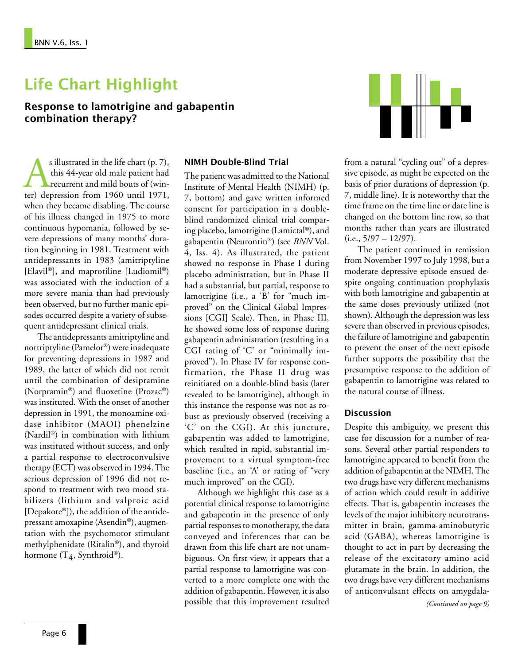# Life Chart Highlight

Response to lamotrigine and gabapentin combination therapy?

s illustrated in the life chart (p. 7),<br>this 44-year old male patient had<br>recurrent and mild bouts of (win-<br>ter) depression from 1960 until 1971, this 44-year old male patient had recurrent and mild bouts of (winwhen they became disabling. The course of his illness changed in 1975 to more continuous hypomania, followed by severe depressions of many months' duration beginning in 1981. Treatment with antidepressants in 1983 (amitriptyline [Elavil®], and maprotiline [Ludiomil®) was associated with the induction of a more severe mania than had previously been observed, but no further manic episodes occurred despite a variety of subsequent antidepressant clinical trials.

The antidepressants amitriptyline and nortriptyline (Pamelor®) were inadequate for preventing depressions in 1987 and 1989, the latter of which did not remit until the combination of desipramine (Norpramin®) and fluoxetine (Prozac®) was instituted. With the onset of another depression in 1991, the monoamine oxidase inhibitor (MAOI) phenelzine (Nardil®) in combination with lithium was instituted without success, and only a partial response to electroconvulsive therapy (ECT) was observed in 1994. The serious depression of 1996 did not respond to treatment with two mood stabilizers (lithium and valproic acid [Depakote®]), the addition of the antidepressant amoxapine (Asendin®), augmentation with the psychomotor stimulant methylphenidate (Ritalin®), and thyroid hormone  $(T_4, Symbroid^{\circledast})$ .

#### NIMH Double-Blind Trial

The patient was admitted to the National Institute of Mental Health (NIMH) (p. 7, bottom) and gave written informed consent for participation in a doubleblind randomized clinical trial comparing placebo, lamotrigine (Lamictal®), and gabapentin (Neurontin®) (see *BNN* Vol. 4, Iss. 4). As illustrated, the patient showed no response in Phase I during placebo administration, but in Phase II had a substantial, but partial, response to lamotrigine (i.e., a 'B' for "much improved" on the Clinical Global Impressions [CGI] Scale). Then, in Phase III, he showed some loss of response during gabapentin administration (resulting in a CGI rating of 'C' or "minimally improved"). In Phase IV for response confirmation, the Phase II drug was reinitiated on a double-blind basis (later revealed to be lamotrigine), although in this instance the response was not as robust as previously observed (receiving a 'C' on the CGI). At this juncture, gabapentin was added to lamotrigine, which resulted in rapid, substantial improvement to a virtual symptom-free baseline (i.e., an 'A' or rating of "very much improved" on the CGI).

Although we highlight this case as a potential clinical response to lamotrigine and gabapentin in the presence of only partial responses to monotherapy, the data conveyed and inferences that can be drawn from this life chart are not unambiguous. On first view, it appears that a partial response to lamotrigine was converted to a more complete one with the addition of gabapentin. However, it is also possible that this improvement resulted



from a natural "cycling out" of a depressive episode, as might be expected on the basis of prior durations of depression (p. 7, middle line). It is noteworthy that the time frame on the time line or date line is changed on the bottom line row, so that months rather than years are illustrated  $(i.e., 5/97 - 12/97).$ 

The patient continued in remission from November 1997 to July 1998, but a moderate depressive episode ensued despite ongoing continuation prophylaxis with both lamotrigine and gabapentin at the same doses previously utilized (not shown). Although the depression was less severe than observed in previous episodes, the failure of lamotrigine and gabapentin to prevent the onset of the next episode further supports the possibility that the presumptive response to the addition of gabapentin to lamotrigine was related to the natural course of illness.

### **Discussion**

Despite this ambiguity, we present this case for discussion for a number of reasons. Several other partial responders to lamotrigine appeared to benefit from the addition of gabapentin at the NIMH. The two drugs have very different mechanisms of action which could result in additive effects. That is, gabapentin increases the levels of the major inhibitory neurotransmitter in brain, gamma-aminobutyric acid (GABA), whereas lamotrigine is thought to act in part by decreasing the release of the excitatory amino acid glutamate in the brain. In addition, the two drugs have very different mechanisms of anticonvulsant effects on amygdala-

*(Continued on page 9)*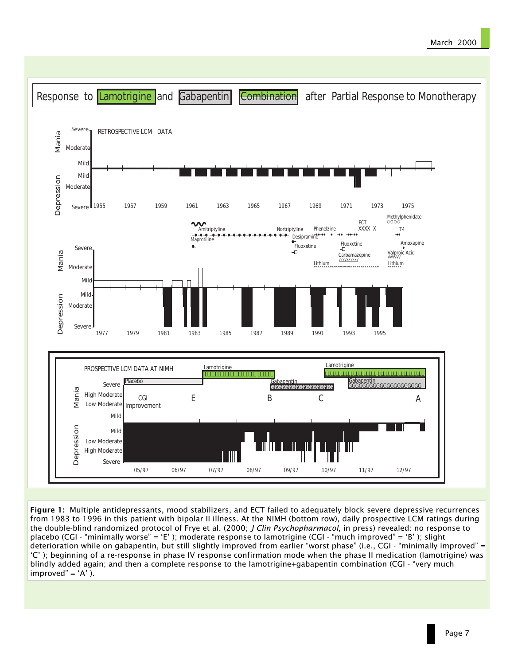### March 2000



Figure 1: Multiple antidepressants, mood stabilizers, and ECT failed to adequately block severe depressive recurrences from 1983 to 1996 in this patient with bipolar II illness. At the NIMH (bottom row), daily prospective LCM ratings during the double-blind randomized protocol of Frye et al. (2000; *J Clin Psychopharmacol*, in press) revealed: no response to placebo (CGI - "minimally worse" = 'E'); moderate response to lamotrigine (CGI - "much improved" = 'B'); slight deterioration while on gabapentin, but still slightly improved from earlier "worst phase" (i.e., CGI - "minimally improved" = C ); beginning of a re-response in phase IV response confirmation mode when the phase II medication (lamotrigine) was blindly added again; and then a complete response to the lamotrigine+gabapentin combination (CGI - "very much improved" =  $'A'$ ).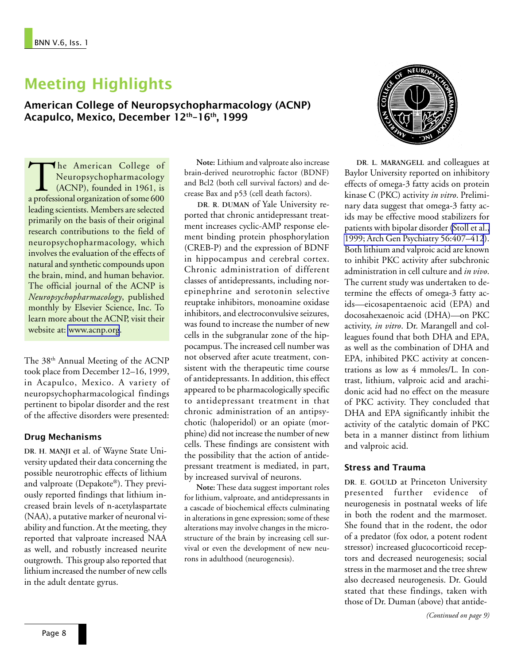## Meeting Highlights

American College of Neuropsychopharmacology (ACNP) Acapulco, Mexico, December 12<sup>th</sup>-16<sup>th</sup>, 1999

The American College of<br>
Neuropsychopharmacology<br>
(ACNP), founded in 1961, is<br>
a professional organization of some 600 Neuropsychopharmacology  $\triangle$  (ACNP), founded in 1961, is leading scientists. Members are selected primarily on the basis of their original research contributions to the field of neuropsychopharmacology, which involves the evaluation of the effects of natural and synthetic compounds upon the brain, mind, and human behavior. The official journal of the ACNP is *Neuropsychopharmacology*, published monthly by Elsevier Science, Inc. To learn more about the ACNP, visit their website at: [www.acnp.org](http://www.acnp.org/).

The 38<sup>th</sup> Annual Meeting of the ACNP took place from December 12–16, 1999, in Acapulco, Mexico. A variety of neuropsychopharmacological findings pertinent to bipolar disorder and the rest of the affective disorders were presented:

### Drug Mechanisms

DR. H. MANJI et al. of Wayne State University updated their data concerning the possible neurotrophic effects of lithium and valproate (Depakote®). They previously reported findings that lithium increased brain levels of n-acetylaspartate (NAA), a putative marker of neuronal viability and function. At the meeting, they reported that valproate increased NAA as well, and robustly increased neurite outgrowth. This group also reported that lithium increased the number of new cells in the adult dentate gyrus.

**Note:** Lithium and valproate also increase brain-derived neurotrophic factor (BDNF) and Bcl2 (both cell survival factors) and decrease Bax and p53 (cell death factors).

DR. R. DUMAN of Yale University reported that chronic antidepressant treatment increases cyclic-AMP response element binding protein phosphorylation (CREB-P) and the expression of BDNF in hippocampus and cerebral cortex. Chronic administration of different classes of antidepressants, including norepinephrine and serotonin selective reuptake inhibitors, monoamine oxidase inhibitors, and electroconvulsive seizures, was found to increase the number of new cells in the subgranular zone of the hippocampus. The increased cell number was not observed after acute treatment, consistent with the therapeutic time course of antidepressants. In addition, this effect appeared to be pharmacologically specific to antidepressant treatment in that chronic administration of an antipsychotic (haloperidol) or an opiate (morphine) did not increase the number of new cells. These findings are consistent with the possibility that the action of antidepressant treatment is mediated, in part, by increased survival of neurons.

**Note:** These data suggest important roles for lithium, valproate, and antidepressants in a cascade of biochemical effects culminating in alterations in gene expression; some of these alterations may involve changes in the microstructure of the brain by increasing cell survival or even the development of new neurons in adulthood (neurogenesis).



DR. L. MARANGELL and colleagues at Baylor University reported on inhibitory effects of omega-3 fatty acids on protein kinase C (PKC) activity *in vitro*. Preliminary data suggest that omega-3 fatty acids may be effective mood stabilizers for patients with bipolar disorder [\(Stoll et al.,](http://www.ncbi.nlm.nih.gov:80/entrez/query.fcgi?cmd=Retrieve&db=PubMed&list_uids=10232294&dopt=Abstract) [1999; Arch Gen Psychiatry 56:407–412](http://www.ncbi.nlm.nih.gov:80/entrez/query.fcgi?cmd=Retrieve&db=PubMed&list_uids=10232294&dopt=Abstract)). Both lithium and valproic acid are known to inhibit PKC activity after subchronic administration in cell culture and *in vivo*. The current study was undertaken to determine the effects of omega-3 fatty acids-eicosapentaenoic acid (EPA) and docosahexaenoic acid (DHA)-on PKC activity, *in vitro*. Dr. Marangell and colleagues found that both DHA and EPA, as well as the combination of DHA and EPA, inhibited PKC activity at concentrations as low as 4 mmoles/L. In contrast, lithium, valproic acid and arachidonic acid had no effect on the measure of PKC activity. They concluded that DHA and EPA significantly inhibit the activity of the catalytic domain of PKC beta in a manner distinct from lithium and valproic acid.

### Stress and Trauma

DR. E. GOULD at Princeton University presented further evidence of neurogenesis in postnatal weeks of life in both the rodent and the marmoset. She found that in the rodent, the odor of a predator (fox odor, a potent rodent stressor) increased glucocorticoid receptors and decreased neurogenesis; social stress in the marmoset and the tree shrew also decreased neurogenesis. Dr. Gould stated that these findings, taken with those of Dr. Duman (above) that antide-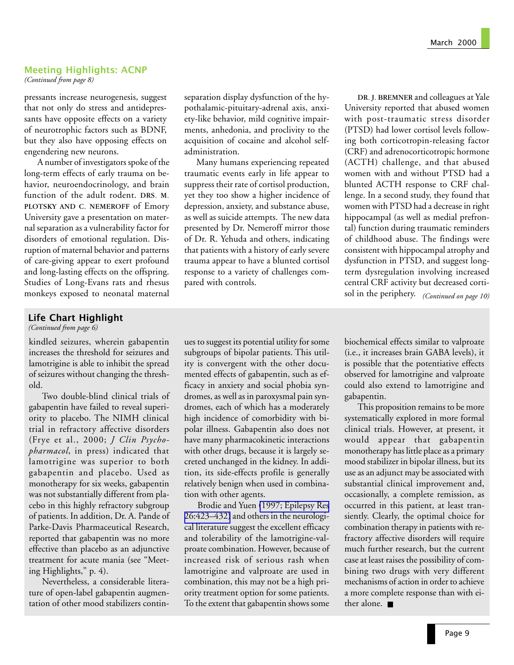### Meeting Highlights: ACNP

*(Continued from page 8)*

pressants increase neurogenesis, suggest that not only do stress and antidepressants have opposite effects on a variety of neurotrophic factors such as BDNF, but they also have opposing effects on engendering new neurons.

A number of investigators spoke of the long-term effects of early trauma on behavior, neuroendocrinology, and brain function of the adult rodent. DRS. M. PLOTSKY AND C. NEMEROFF of Emory University gave a presentation on maternal separation as a vulnerability factor for disorders of emotional regulation. Disruption of maternal behavior and patterns of care-giving appear to exert profound and long-lasting effects on the offspring. Studies of Long-Evans rats and rhesus monkeys exposed to neonatal maternal

### Life Chart Highlight

*(Continued from page 6)*

kindled seizures, wherein gabapentin increases the threshold for seizures and lamotrigine is able to inhibit the spread of seizures without changing the threshold.

Two double-blind clinical trials of gabapentin have failed to reveal superiority to placebo. The NIMH clinical trial in refractory affective disorders (Frye et al., 2000; *J Clin Psychopharmacol*, in press) indicated that lamotrigine was superior to both gabapentin and placebo. Used as monotherapy for six weeks, gabapentin was not substantially different from placebo in this highly refractory subgroup of patients. In addition, Dr. A. Pande of Parke-Davis Pharmaceutical Research, reported that gabapentin was no more effective than placebo as an adjunctive treatment for acute mania (see "Meeting Highlights," p. 4).

Nevertheless, a considerable literature of open-label gabapentin augmentation of other mood stabilizers continseparation display dysfunction of the hypothalamic-pituitary-adrenal axis, anxiety-like behavior, mild cognitive impairments, anhedonia, and proclivity to the acquisition of cocaine and alcohol selfadministration.

Many humans experiencing repeated traumatic events early in life appear to suppress their rate of cortisol production, yet they too show a higher incidence of depression, anxiety, and substance abuse, as well as suicide attempts. The new data presented by Dr. Nemeroff mirror those of Dr. R. Yehuda and others, indicating that patients with a history of early severe trauma appear to have a blunted cortisol response to a variety of challenges compared with controls.

ues to suggest its potential utility for some subgroups of bipolar patients. This utility is convergent with the other documented effects of gabapentin, such as efficacy in anxiety and social phobia syndromes, as well as in paroxysmal pain syndromes, each of which has a moderately high incidence of comorbidity with bipolar illness. Gabapentin also does not have many pharmacokinetic interactions with other drugs, because it is largely secreted unchanged in the kidney. In addition, its side-effects profile is generally relatively benign when used in combination with other agents.

Brodie and Yuen [\(1997; Epilepsy Res](http://www.ncbi.nlm.nih.gov:80/entrez/query.fcgi?cmd=Retrieve&db=PubMed&list_uids=9127723&dopt=Abstract) [26:423–432\)](http://www.ncbi.nlm.nih.gov:80/entrez/query.fcgi?cmd=Retrieve&db=PubMed&list_uids=9127723&dopt=Abstract) and others in the neurological literature suggest the excellent efficacy and tolerability of the lamotrigine-valproate combination. However, because of increased risk of serious rash when lamotrigine and valproate are used in combination, this may not be a high priority treatment option for some patients. To the extent that gabapentin shows some

DR. J. BREMNER and colleagues at Yale University reported that abused women with post-traumatic stress disorder (PTSD) had lower cortisol levels following both corticotropin-releasing factor (CRF) and adrenocorticotropic hormone (ACTH) challenge, and that abused women with and without PTSD had a blunted ACTH response to CRF challenge. In a second study, they found that women with PTSD had a decrease in right hippocampal (as well as medial prefrontal) function during traumatic reminders of childhood abuse. The findings were consistent with hippocampal atrophy and dysfunction in PTSD, and suggest longterm dysregulation involving increased central CRF activity but decreased cortisol in the periphery. *(Continued on page 10)*

biochemical effects similar to valproate (i.e., it increases brain GABA levels), it is possible that the potentiative effects observed for lamotrigine and valproate could also extend to lamotrigine and gabapentin.

This proposition remains to be more systematically explored in more formal clinical trials. However, at present, it would appear that gabapentin monotherapy has little place as a primary mood stabilizer in bipolar illness, but its use as an adjunct may be associated with substantial clinical improvement and, occasionally, a complete remission, as occurred in this patient, at least transiently. Clearly, the optimal choice for combination therapy in patients with refractory affective disorders will require much further research, but the current case at least raises the possibility of combining two drugs with very different mechanisms of action in order to achieve a more complete response than with either alone.■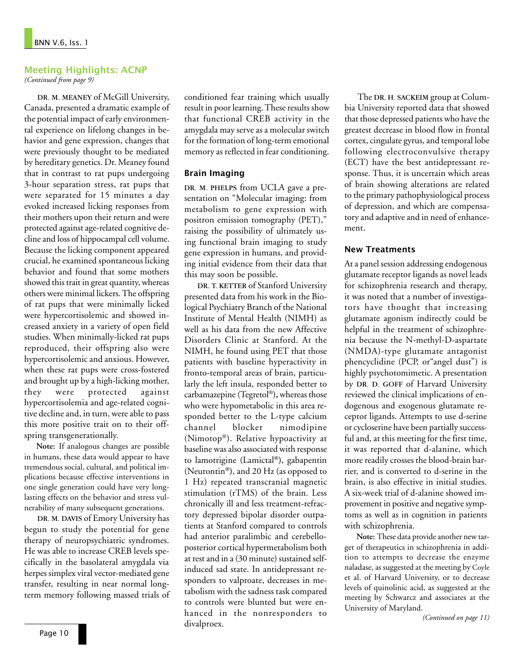### Meeting Highlights: ACNP

*(Continued from page 9)*

DR. M. MEANEY of McGill University, Canada, presented a dramatic example of the potential impact of early environmental experience on lifelong changes in behavior and gene expression, changes that were previously thought to be mediated by hereditary genetics. Dr. Meaney found that in contrast to rat pups undergoing 3-hour separation stress, rat pups that were separated for 15 minutes a day evoked increased licking responses from their mothers upon their return and were protected against age-related cognitive decline and loss of hippocampal cell volume. Because the licking component appeared crucial, he examined spontaneous licking behavior and found that some mothers showed this trait in great quantity, whereas others were minimal lickers. The offspring of rat pups that were minimally licked were hypercortisolemic and showed increased anxiety in a variety of open field studies. When minimally-licked rat pups reproduced, their offspring also were hypercortisolemic and anxious. However, when these rat pups were cross-fostered and brought up by a high-licking mother, they were protected against hypercortisolemia and age-related cognitive decline and, in turn, were able to pass this more positive trait on to their offspring transgenerationally.

**Note:** If analogous changes are possible in humans, these data would appear to have tremendous social, cultural, and political implications because effective interventions in one single generation could have very longlasting effects on the behavior and stress vulnerability of many subsequent generations.

DR. M. DAVIS of Emory University has begun to study the potential for gene therapy of neuropsychiatric syndromes. He was able to increase CREB levels specifically in the basolateral amygdala via herpes simplex viral vector-mediated gene transfer, resulting in near normal longterm memory following massed trials of conditioned fear training which usually result in poor learning. These results show that functional CREB activity in the amygdala may serve as a molecular switch for the formation of long-term emotional memory as reflected in fear conditioning.

### Brain Imaging

DR. M. PHELPS from UCLA gave a presentation on "Molecular imaging: from metabolism to gene expression with positron emission tomography (PET)," raising the possibility of ultimately using functional brain imaging to study gene expression in humans, and providing initial evidence from their data that this may soon be possible.

DR. T. KETTER of Stanford University presented data from his work in the Biological Psychiatry Branch of the National Institute of Mental Health (NIMH) as well as his data from the new Affective Disorders Clinic at Stanford. At the NIMH, he found using PET that those patients with baseline hyperactivity in fronto-temporal areas of brain, particularly the left insula, responded better to carbamazepine(Tegretol®)**,** whereas those who were hypometabolic in this area responded better to the L-type calcium channel blocker nimodipine (Nimotop®). Relative hypoactivity at baseline was also associated with response to lamotrigine (Lamictal**®)**, gabapentin (Neurontin**®)**, and 20 Hz (as opposed to 1 Hz) repeated transcranial magnetic stimulation (rTMS) of the brain. Less chronically ill and less treatment-refractory depressed bipolar disorder outpatients at Stanford compared to controls had anterior paralimbic and cerebelloposterior cortical hypermetabolism both at rest and in a (30 minute) sustained selfinduced sad state. In antidepressant responders to valproate, decreases in metabolism with the sadness task compared to controls were blunted but were enhanced in the nonresponders to divalproex.

The DR. H. SACKEIM group at Columbia University reported data that showed that those depressed patients who have the greatest decrease in blood flow in frontal cortex, cingulate gyrus, and temporal lobe following electroconvulsive therapy (ECT) have the best antidepressant response. Thus, it is uncertain which areas of brain showing alterations are related to the primary pathophysiological process of depression, and which are compensatory and adaptive and in need of enhancement.

### New Treatments

At a panel session addressing endogenous glutamate receptor ligands as novel leads for schizophrenia research and therapy, it was noted that a number of investigators have thought that increasing glutamate agonism indirectly could be helpful in the treatment of schizophrenia because the N-methyl-D-aspartate (NMDA)-type glutamate antagonist phencyclidine (PCP, or"angel dust") is highly psychotomimetic. A presentation by DR. D. GOFF of Harvard University reviewed the clinical implications of endogenous and exogenous glutamate receptor ligands. Attempts to use d-serine or cycloserine have been partially successful and, at this meeting for the first time, it was reported that d-alanine, which more readily crosses the blood-brain barrier, and is converted to d-serine in the brain, is also effective in initial studies. A six-week trial of d-alanine showed improvement in positive and negative symptoms as well as in cognition in patients with schizophrenia.

**Note:** These data provide another new target of therapeutics in schizophrenia in addition to attempts to decrease the enzyme naladase, as suggested at the meeting by Coyle et al. of Harvard University, or to decrease levels of quinolinic acid, as suggested at the meeting by Schwarcz and associates at the University of Maryland.

*(Continued on page 11)*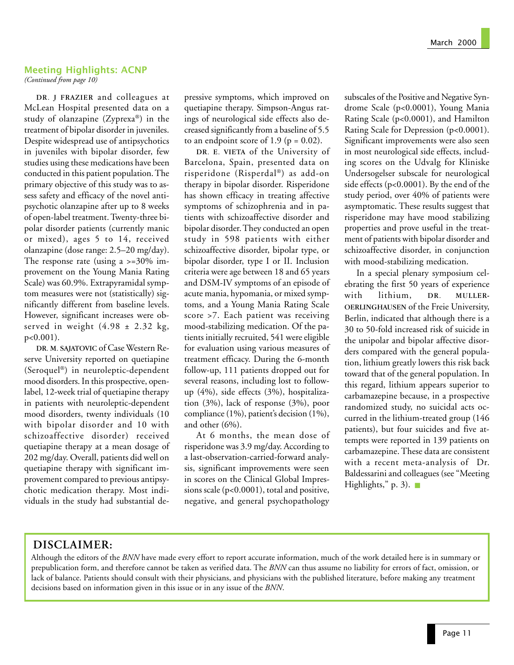### Meeting Highlights: ACNP

*(Continued from page 10)*

DR. J FRAZIER and colleagues at McLean Hospital presented data on a study of olanzapine (Zyprexa®) in the treatment of bipolar disorder in juveniles. Despite widespread use of antipsychotics in juveniles with bipolar disorder, few studies using these medications have been conducted in this patient population. The primary objective of this study was to assess safety and efficacy of the novel antipsychotic olanzapine after up to 8 weeks of open-label treatment. Twenty-three bipolar disorder patients (currently manic or mixed), ages 5 to 14, received olanzapine (dose range: 2.5–20 mg/day). The response rate (using a  $\ge$ =30% improvement on the Young Mania Rating Scale) was 60.9%. Extrapyramidal symptom measures were not (statistically) significantly different from baseline levels. However, significant increases were observed in weight  $(4.98 \pm 2.32 \text{ kg})$ , p<0.001).

DR. M. SAJATOVIC of Case Western Reserve University reported on quetiapine (Seroquel®) in neuroleptic-dependent mood disorders. In this prospective, openlabel, 12-week trial of quetiapine therapy in patients with neuroleptic-dependent mood disorders, twenty individuals (10 with bipolar disorder and 10 with schizoaffective disorder) received quetiapine therapy at a mean dosage of 202 mg/day. Overall, patients did well on quetiapine therapy with significant improvement compared to previous antipsychotic medication therapy. Most individuals in the study had substantial depressive symptoms, which improved on quetiapine therapy. Simpson-Angus ratings of neurological side effects also decreased significantly from a baseline of 5.5 to an endpoint score of 1.9 ( $p = 0.02$ ).

DR. E. VIETA of the University of Barcelona, Spain, presented data on risperidone (Risperdal®) as add-on therapy in bipolar disorder. Risperidone has shown efficacy in treating affective symptoms of schizophrenia and in patients with schizoaffective disorder and bipolar disorder. They conducted an open study in 598 patients with either schizoaffective disorder, bipolar type, or bipolar disorder, type I or II. Inclusion criteria were age between 18 and 65 years and DSM-IV symptoms of an episode of acute mania, hypomania, or mixed symptoms, and a Young Mania Rating Scale score >7. Each patient was receiving mood-stabilizing medication. Of the patients initially recruited, 541 were eligible for evaluation using various measures of treatment efficacy. During the 6-month follow-up, 111 patients dropped out for several reasons, including lost to followup (4%), side effects (3%), hospitalization (3%), lack of response (3%), poor compliance (1%), patient's decision (1%), and other (6%).

At 6 months, the mean dose of risperidone was 3.9 mg/day. According to a last-observation-carried-forward analysis, significant improvements were seen in scores on the Clinical Global Impressions scale (p<0.0001), total and positive, negative, and general psychopathology

subscales of the Positive and Negative Syndrome Scale (p<0.0001), Young Mania Rating Scale (p<0.0001), and Hamilton Rating Scale for Depression (p<0.0001). Significant improvements were also seen in most neurological side effects, including scores on the Udvalg for Kliniske Undersogelser subscale for neurological side effects (p<0.0001). By the end of the study period, over 40% of patients were asymptomatic. These results suggest that risperidone may have mood stabilizing properties and prove useful in the treatment of patients with bipolar disorder and schizoaffective disorder, in conjunction with mood-stabilizing medication.

In a special plenary symposium celebrating the first 50 years of experience with lithium, DR. MULLER-OERLINGHAUSEN of the Freie University, Berlin, indicated that although there is a 30 to 50-fold increased risk of suicide in the unipolar and bipolar affective disorders compared with the general population, lithium greatly lowers this risk back toward that of the general population. In this regard, lithium appears superior to carbamazepine because, in a prospective randomized study, no suicidal acts occurred in the lithium-treated group (146 patients), but four suicides and five attempts were reported in 139 patients on carbamazepine. These data are consistent with a recent meta-analysis of Dr. Baldessarini and colleagues (see "Meeting Highlights," p. 3). ■

## **DISCLAIMER:**

Although the editors of the *BNN* have made every effort to report accurate information, much of the work detailed here is in summary or prepublication form, and therefore cannot be taken as verified data. The *BNN* can thus assume no liability for errors of fact, omission, or lack of balance. Patients should consult with their physicians, and physicians with the published literature, before making any treatment decisions based on information given in this issue or in any issue of the *BNN*.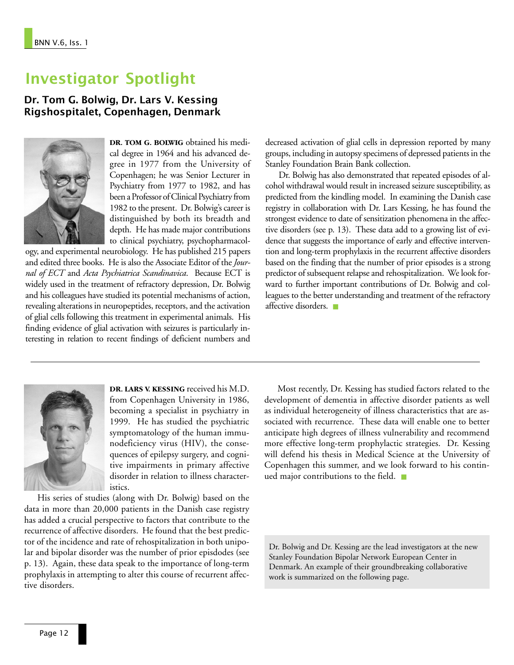# Investigator Spotlight

Dr. Tom G. Bolwig, Dr. Lars V. Kessing Rigshospitalet, Copenhagen, Denmark



**DR. TOM G. BOLWIG** obtained his medical degree in 1964 and his advanced degree in 1977 from the University of Copenhagen; he was Senior Lecturer in Psychiatry from 1977 to 1982, and has been a Professor of Clinical Psychiatry from 1982 to the present. Dr. Bolwig's career is distinguished by both its breadth and depth. He has made major contributions to clinical psychiatry, psychopharmacol-

ogy, and experimental neurobiology. He has published 215 papers and edited three books. He is also the Associate Editor of the *Journal of ECT* and *Acta Psychiatrica Scandinavica*. Because ECT is widely used in the treatment of refractory depression, Dr. Bolwig and his colleagues have studied its potential mechanisms of action, revealing alterations in neuropeptides, receptors, and the activation of glial cells following this treatment in experimental animals. His finding evidence of glial activation with seizures is particularly interesting in relation to recent findings of deficient numbers and

decreased activation of glial cells in depression reported by many groups, including in autopsy specimens of depressed patients in the Stanley Foundation Brain Bank collection.

Dr. Bolwig has also demonstrated that repeated episodes of alcohol withdrawal would result in increased seizure susceptibility, as predicted from the kindling model. In examining the Danish case registry in collaboration with Dr. Lars Kessing, he has found the strongest evidence to date of sensitization phenomena in the affective disorders (see p. 13). These data add to a growing list of evidence that suggests the importance of early and effective intervention and long-term prophylaxis in the recurrent affective disorders based on the finding that the number of prior episodes is a strong predictor of subsequent relapse and rehospitalization. We look forward to further important contributions of Dr. Bolwig and colleagues to the better understanding and treatment of the refractory affective disorders. ■



**DR. LARS V. KESSING** received his M.D. from Copenhagen University in 1986, becoming a specialist in psychiatry in 1999. He has studied the psychiatric symptomatology of the human immunodeficiency virus (HIV), the consequences of epilepsy surgery, and cognitive impairments in primary affective disorder in relation to illness characteristics.

His series of studies (along with Dr. Bolwig) based on the data in more than 20,000 patients in the Danish case registry has added a crucial perspective to factors that contribute to the recurrence of affective disorders. He found that the best predictor of the incidence and rate of rehospitalization in both unipolar and bipolar disorder was the number of prior episdodes (see p. 13). Again, these data speak to the importance of long-term prophylaxis in attempting to alter this course of recurrent affective disorders.

Most recently, Dr. Kessing has studied factors related to the development of dementia in affective disorder patients as well as individual heterogeneity of illness characteristics that are associated with recurrence. These data will enable one to better anticipate high degrees of illness vulnerability and recommend more effective long-term prophylactic strategies. Dr. Kessing will defend his thesis in Medical Science at the University of Copenhagen this summer, and we look forward to his continued major contributions to the field. ■

Dr. Bolwig and Dr. Kessing are the lead investigators at the new Stanley Foundation Bipolar Network European Center in Denmark. An example of their groundbreaking collaborative work is summarized on the following page.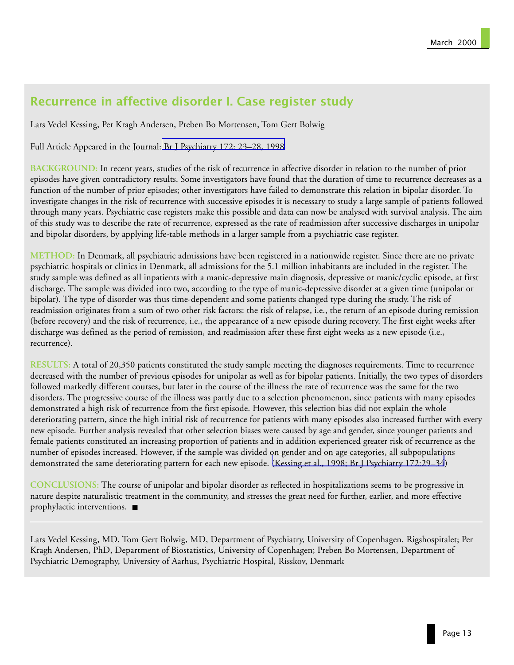## Recurrence in affective disorder I. Case register study

Lars Vedel Kessing, Per Kragh Andersen, Preben Bo Mortensen, Tom Gert Bolwig

Full Article Appeared in the Journal: [Br J Psychiatry 172: 23–28, 1998](http://www.ncbi.nlm.nih.gov:80/entrez/query.fcgi?cmd=Retrieve&db=PubMed&list_uids=9534827&dopt=Abstract)

**BACKGROUND:** In recent years, studies of the risk of recurrence in affective disorder in relation to the number of prior episodes have given contradictory results. Some investigators have found that the duration of time to recurrence decreases as a function of the number of prior episodes; other investigators have failed to demonstrate this relation in bipolar disorder. To investigate changes in the risk of recurrence with successive episodes it is necessary to study a large sample of patients followed through many years. Psychiatric case registers make this possible and data can now be analysed with survival analysis. The aim of this study was to describe the rate of recurrence, expressed as the rate of readmission after successive discharges in unipolar and bipolar disorders, by applying life-table methods in a larger sample from a psychiatric case register.

**METHOD:** In Denmark, all psychiatric admissions have been registered in a nationwide register. Since there are no private psychiatric hospitals or clinics in Denmark, all admissions for the 5.1 million inhabitants are included in the register. The study sample was defined as all inpatients with a manic-depressive main diagnosis, depressive or manic/cyclic episode, at first discharge. The sample was divided into two, according to the type of manic-depressive disorder at a given time (unipolar or bipolar). The type of disorder was thus time-dependent and some patients changed type during the study. The risk of readmission originates from a sum of two other risk factors: the risk of relapse, i.e., the return of an episode during remission (before recovery) and the risk of recurrence, i.e., the appearance of a new episode during recovery. The first eight weeks after discharge was defined as the period of remission, and readmission after these first eight weeks as a new episode (i.e., recurrence).

**RESULTS:** A total of 20,350 patients constituted the study sample meeting the diagnoses requirements. Time to recurrence decreased with the number of previous episodes for unipolar as well as for bipolar patients. Initially, the two types of disorders followed markedly different courses, but later in the course of the illness the rate of recurrence was the same for the two disorders. The progressive course of the illness was partly due to a selection phenomenon, since patients with many episodes demonstrated a high risk of recurrence from the first episode. However, this selection bias did not explain the whole deteriorating pattern, since the high initial risk of recurrence for patients with many episodes also increased further with every new episode. Further analysis revealed that other selection biases were caused by age and gender, since younger patients and female patients constituted an increasing proportion of patients and in addition experienced greater risk of recurrence as the number of episodes increased. However, if the sample was divided on gender and on age categories, all subpopulations demonstrated the same deteriorating pattern for each new episode. [\(Kessing et al., 1998; Br J Psychiatry 172:29–34](http://www.ncbi.nlm.nih.gov:80/entrez/query.fcgi?cmd=Retrieve&db=PubMed&list_uids=9534828&dopt=Abstract))

**CONCLUSIONS:** The course of unipolar and bipolar disorder as reflected in hospitalizations seems to be progressive in nature despite naturalistic treatment in the community, and stresses the great need for further, earlier, and more effective prophylactic interventions. ■

Lars Vedel Kessing, MD, Tom Gert Bolwig, MD, Department of Psychiatry, University of Copenhagen, Rigshospitalet; Per Kragh Andersen, PhD, Department of Biostatistics, University of Copenhagen; Preben Bo Mortensen, Department of Psychiatric Demography, University of Aarhus, Psychiatric Hospital, Risskov, Denmark